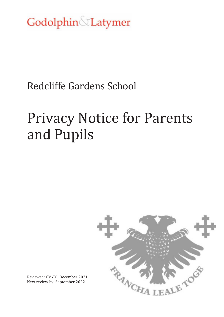Godolphin Latymer

# Redcliffe Gardens School

# Privacy Notice for Parents and Pupils



Reviewed: CM/DL December 2021 Next review by: September 2022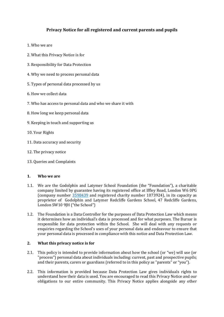# **Privacy Notice for all registered and current parents and pupils**

- 1. Who we are
- 2. What this Privacy Notice is for
- 3. Responsibility for Data Protection
- 4. Why we need to process personal data
- 5. Types of personal data processed by us
- 6. How we collect data
- 7. Who has access to personal data and who we share it with
- 8. How long we keep personal data
- 9. Keeping in touch and supporting us
- 10. Your Rights
- 11. Data accuracy and security
- 12. The privacy notice
- 13. Queries and Complaints

#### **1. Who we are**

- 1.1. We are the Godolphin and Latymer School Foundation (the "Foundation"), a charitable company limited by guarantee having its registered office at Iffley Road, London W6 0PG (company number [3598439](https://beta.companieshouse.gov.uk/search/companies?q=3598439) and registered charity number 1073924), in its capacity as proprietor of Godolphin and Latymer Redcliffe Gardens School, 47 Redcliffe Gardens, London SW10 9JH ("the School")
- 1.2. The Foundation is a Data Controller for the purposes of Data Protection Law which means it determines how an individual's data is processed and for what purposes. The Bursar is responsible for data protection within the School. She will deal with any requests or enquiries regarding the School's uses of your personal data and endeavour to ensure that your personal data is processed in compliance with this notice and Data Protection Law.

#### **2. What this privacy notice is for**

- 2.1. This policy is intended to provide information about how the school (or "we) will use (or "process") personal data about individuals including: current, past and prospective pupils; and their parents, carers or guardians (referred to in this policy as "parents" or "you").
- 2.2. This information is provided because Data Protection Law gives individuals rights to understand how their data is used. You are encouraged to read this Privacy Notice and our obligations to our entire community. This Privacy Notice applies alongside any other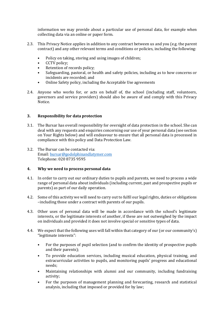information we may provide about a particular use of personal data, for example when collecting data via an online or paper form.

- 2.3. This Privacy Notice applies in addition to any contract between us and you (e.g. the parent contract) and any other relevant terms and conditions or policies, including the following:
	- Policy on taking, storing and using images of children;
	- CCTV policy;
	- Retention of records policy;
	- Safeguarding, pastoral, or health and safety policies, including as to how concerns or incidents are recorded; and
	- Online Safety policy, including the Acceptable Use agreements
- 2.4. Anyone who works for, or acts on behalf of, the school (including staff, volunteers, governors and service providers) should also be aware of and comply with this Privacy Notice.

# **3. Responsibility for data protection**

- 3.1. The Bursar has overall responsibility for oversight of data protection in the school. She can deal with any requests and enquiries concerning our use of your personal data (see section on Your Rights below) and will endeavour to ensure that all personal data is processed in compliance with this policy and Data Protection Law.
- 3.2. The Bursar can be contacted via: Email[: bursar@godolphinandlatymer.com](mailto:bursar@godolphinandlatymer.com)  Telephone: 020 8735 9595

# **4. Why we need to process personal data**

- 4.1. In order to carry out our ordinary duties to pupils and parents, we need to process a wide range of personal data about individuals (including current, past and prospective pupils or parents) as part of our daily operation.
- 4.2. Some of this activity we will need to carry out to fulfil our legal rights, duties or obligations –including those under a contract with parents of our pupils.
- 4.3. Other uses of personal data will be made in accordance with the school's legitimate interests, or the legitimate interests of another, if these are not outweighed by the impact on individuals and provided it does not involve special or sensitive types of data.
- 4.4. We expect that the following uses will fall within that category of our (or our community's) "legitimate interests":
	- For the purposes of pupil selection (and to confirm the identity of prospective pupils and their parents);
	- To provide education services, including musical education, physical training, and extracurricular activities to pupils, and monitoring pupils' progress and educational needs;
	- Maintaining relationships with alumni and our community, including fundraising activity;
	- For the purposes of management planning and forecasting, research and statistical analysis, including that imposed or provided for by law;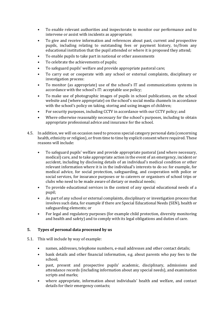- To enable relevant authorities and inspectorate to monitor our performance and to intervene or assist with incidents as appropriate;
- To give and receive information and references about past, current and prospective pupils, including relating to outstanding fees or payment history, to/from any educational institution that the pupil attended or where it is proposed they attend;
- To enable pupils to take part in national or other assessments
- To celebrate the achievements of pupils;
- To safeguard pupils' welfare and provide appropriate pastoral care;
- To carry out or cooperate with any school or external complaints, disciplinary or investigation process:
- To monitor (as appropriate) use of the school's IT and communications systems in accordance with the school's IT: acceptable use policy;
- To make use of photographic images of pupils in school publications, on the school website and (where appropriate) on the school's social media channels in accordance with the school's policy on taking, storing and using images of children;
- For security purposes, including CCTV in accordance with our CCTV policy; and
- Where otherwise reasonably necessary for the school's purposes, including to obtain appropriate professional advice and insurance for the school.
- 4.5. In addition, we will on occasion need to process special category personal data (concerning health, ethnicity or religion), or from time to time by explicit consent where required. These reasons will include:
	- To safeguard pupils' welfare and provide appropriate pastoral (and where necessary, medical) care, and to take appropriate action in the event of an emergency, incident or accident, including by disclosing details of an individual's medical condition or other relevant information where it is in the individual's interests to do so: for example, for medical advice, for social protection, safeguarding, and cooperation with police or social services, for insurance purposes or to caterers or organisers of school trips or clubs who need to be made aware of dietary or medical needs;
	- To provide educational services in the context of any special educational needs of a pupil;
	- As part of any school or external complaints, disciplinary or investigation process that involves such data, for example if there are Special Educational Needs (SEN), health or safeguarding elements; or
	- For legal and regulatory purposes (for example child protection, diversity monitoring and health and safety) and to comply with its legal obligations and duties of care.

# **5. Types of personal data processed by us**

- 5.1. This will include by way of example:
	- names, addresses, telephone numbers, e-mail addresses and other contact details;
	- bank details and other financial information, e.g. about parents who pay fees to the school;
	- past, present and prospective pupils' academic, disciplinary, admissions and attendance records (including information about any special needs), and examination scripts and marks;
	- where appropriate, information about individuals' health and welfare, and contact details for their emergency contacts;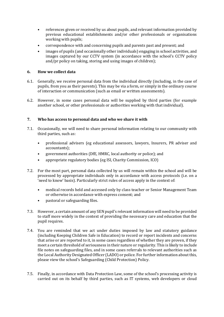- references given or received by us about pupils, and relevant information provided by previous educational establishments and/or other professionals or organisations working with pupils;
- correspondence with and concerning pupils and parents past and present; and
- images of pupils (and occasionally other individuals) engaging in school activities, and images captured by our CCTV system (in accordance with the school's CCTV policy and/pr policy on taking, storing and using images of children);

# **6. How we collect data**

- 6.1. Generally, we receive personal data from the individual directly (including, in the case of pupils, from you as their parents). This may be via a form, or simply in the ordinary course of interaction or communication (such as email or written assessments).
- 6.2. However, in some cases personal data will be supplied by third parties (for example another school, or other professionals or authorities working with that individual).

# **7. Who has access to personal data and who we share it with**

- 7.1. Occasionally, we will need to share personal information relating to our community with third parties, such as:
	- professional advisers (eg educational assessors, lawyers, Insurers, PR adviser and accountants);
	- government authorities (DfE, HMRC, local authority or police); and
	- appropriate regulatory bodies (eg ISI, Charity Commission, ICO)
- 7.2. For the most part, personal data collected by us will remain within the school and will be processed by appropriate individuals only in accordance with access protocols (i.e. on a 'need to know' basis). Particularly strict rules of access apply in the context of:
	- medical records held and accessed only by class teacher or Senior Management Team or otherwise in accordance with express consent; and
	- pastoral or safeguarding files.
- 7.3. However, a certain amount of any SEN pupil's relevant information will need to be provided to staff more widely in the context of providing the necessary care and education that the pupil requires.
- 7.4. You are reminded that we act under duties imposed by law and statutory guidance (including Keeping Children Safe in Education) to record or report incidents and concerns that arise or are reported to it, in some cases regardless of whether they are proven, if they meet a certain threshold of seriousness in their nature or regularity. This is likely to include file notes on safeguarding files, and in some cases referrals to relevant authorities such as the Local Authority Designated Officer (LADO) or police. For further information about this, please view the school's Safeguarding (Child Protection) Policy.
- 7.5. Finally, in accordance with Data Protection Law, some of the school's processing activity is carried out on its behalf by third parties, such as IT systems, web developers or cloud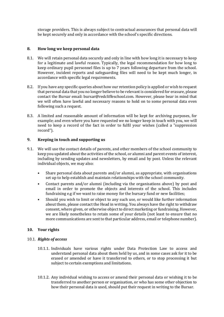storage providers. This is always subject to contractual assurances that personal data will be kept securely and only in accordance with the school's specific directions.

# **8. How long we keep personal data**

- 8.1. We will retain personal data securely and only in line with how long it is necessary to keep for a legitimate and lawful reason. Typically, the legal recommendation for how long to keep ordinary pupil personnel files is up to 7 years following departure from the school. However, incident reports and safeguarding files will need to be kept much longer, in accordance with specific legal requirements.
- 8.2. If you have any specific queries about how our retention policy is applied or wish to request that personal data that you no longer believe to be relevant is considered for erasure, please contact the Bursar email: bursar@redcliffeschool.com. However, please bear in mind that we will often have lawful and necessary reasons to hold on to some personal data even following such a request.
- 8.3. A limited and reasonable amount of information will be kept for archiving purposes, for example; and even where you have requested we no longer keep in touch with you, we will need to keep a record of the fact in order to fulfil your wishes (called a "suppression record").

#### **9. Keeping in touch and supporting us**

- 9.1. We will use the contact details of parents, and other members of the school community to keep you updated about the activities of the school, or alumni and parent events of interest, including by sending updates and newsletters, by email and by post. Unless the relevant individual objects, we may also:
	- Share personal data about parents and/or alumni, as appropriate, with organisations set up to help establish and maintain relationships with the school community.
	- Contact parents and/or alumni (including via the organisations above) by post and email in order to promote the objects and interests of the school. This includes fundraising e.g if we want to raise money for the bursary fund or new facilities;
	- Should you wish to limit or object to any such use, or would like further information about them, please contact the Head in writing. You always have the right to withdraw consent, where given, or otherwise object to direct marketing or fundraising. However, we are likely nonetheless to retain some of your details (not least to ensure that no more communications are sent to that particular address, email or telephone number).

# **10. Your rights**

#### 10.1. *Rights of access*

- 10.1.1. Individuals have various rights under Data Protection Law to access and understand personal data about them held by us, and in some cases ask for it to be erased or amended or have it transferred to others, or to stop processing it but subject to certain exemptions and limitations.
- 10.1.2. Any individual wishing to access or amend their personal data or wishing it to be transferred to another person or organisation, or who has some other objection to how their personal data is used, should put their request in writing to the Bursar.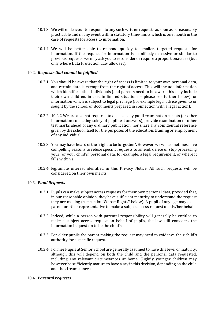- 10.1.3. We will endeavour to respond to any such written requests as soon as is reasonably practicable and in any event within statutory time-limits which is one month in the case of requests for access to information.
- 10.1.4. We will be better able to respond quickly to smaller, targeted requests for information. If the request for information is manifestly excessive or similar to previous requests, we may ask you to reconsider or require a proportionate fee (but only where Data Protection Law allows it).

#### 10.2. *Requests that cannot be fulfilled*

- 10.2.1. You should be aware that the right of access is limited to your own personal data, and certain data is exempt from the right of access. This will include information which identifies other individuals (and parents need to be aware this may include their own children, in certain limited situations – please see further below), or information which is subject to legal privilege (for example legal advice given to or sought by the school, or documents prepared in connection with a legal action).
- 10.2.2. 10.2.2 We are also not required to disclose any pupil examination scripts (or other information consisting solely of pupil test answers), provide examination or other test marks ahead of any ordinary publication, nor share any confidential reference given by the school itself for the purposes of the education, training or employment of any individual.
- 10.2.3. You may have heard of the "right to be forgotten". However, we will sometimes have compelling reasons to refuse specific requests to amend, delete or stop processing your (or your child's) personal data: for example, a legal requirement, or where it falls within a
- 10.2.4. legitimate interest identified in this Privacy Notice. All such requests will be considered on their own merits.

#### 10.3. *Pupil Requests*

- 10.3.1. Pupils can make subject access requests for their own personal data, provided that, in our reasonable opinion, they have sufficient maturity to understand the request they are making (see section Whose Rights? below). A pupil of any age may ask a parent or other representative to make a subject access request on his/her behalf.
- 10.3.2. Indeed, while a person with parental responsibility will generally be entitled to make a subject access request on behalf of pupils, the law still considers the information in question to be the child's.
- 10.3.3. For older pupils the parent making the request may need to evidence their child's authority for a specific request.
- 10.3.4. Former Pupils at Senior School are generally assumed to have this level of maturity, although this will depend on both the child and the personal data requested, including any relevant circumstances at home. Slightly younger children may however be sufficiently mature to have a say in this decision, depending on the child and the circumstances.

#### 10.4. *Parental requests*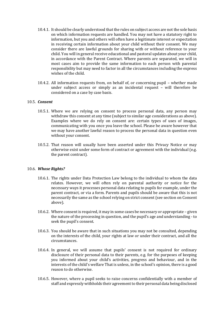- 10.4.1. It should be clearly understood that the rules on subject access are not the sole basis on which information requests are handled. You may not have a statutory right to information, but you and others will often have a legitimate interest or expectation in receiving certain information about your child without their consent. We may consider there are lawful grounds for sharing with or without reference to your child. You will in general receive educational and pastoral updates about your child, in accordance with the Parent Contract. Where parents are separated, we will in most cases aim to provide the same information to each person with parental responsibility but may need to factor in all the circumstances including the express wishes of the child.
- 10.4.2. All information requests from, on behalf of, or concerning pupil whether made under subject access or simply as an incidental request – will therefore be considered on a case by case basis.

#### 10.5. *Consent*

- 10.5.1. Where we are relying on consent to process personal data, any person may withdraw this consent at any time (subject to similar age considerations as above). Examples where we do rely on consent are: certain types of uses of images, communicating with you once you leave the school. Please be aware however that we may have another lawful reason to process the personal data in question even without your consent.
- 10.5.2. That reason will usually have been asserted under this Privacy Notice or may otherwise exist under some form of contract or agreement with the individual (e.g. the parent contract).

#### 10.6. *Whose Rights?*

- 10.6.1. The rights under Data Protection Law belong to the individual to whom the data relates. However, we will often rely on parental authority or notice for the necessary ways it processes personal data relating to pupils for example, under the parent contract, or via a form. Parents and pupils should be aware that this is not necessarily the same as the school relying on strict consent (see section on Consent above).
- 10.6.2. Where consent is required, it may in some cases be necessary or appropriate given the nature of the processing in question, and the pupil's age and understanding - to seek the pupil's consent.
- 10.6.3. You should be aware that in such situations you may not be consulted, depending on the interests of the child, your rights at law or under their contract, and all the circumstances.
- 10.6.4. In general, we will assume that pupils' consent is not required for ordinary disclosure of their personal data to their parents, e.g. for the purposes of keeping you informed about your child's activities, progress and behaviour, and in the interests of the child's welfare That is unless, in the school's opinion, there is a good reason to do otherwise.
- 10.6.5. However, where a pupil seeks to raise concerns confidentially with a member of staff and expressly withholds their agreement to their personal data being disclosed